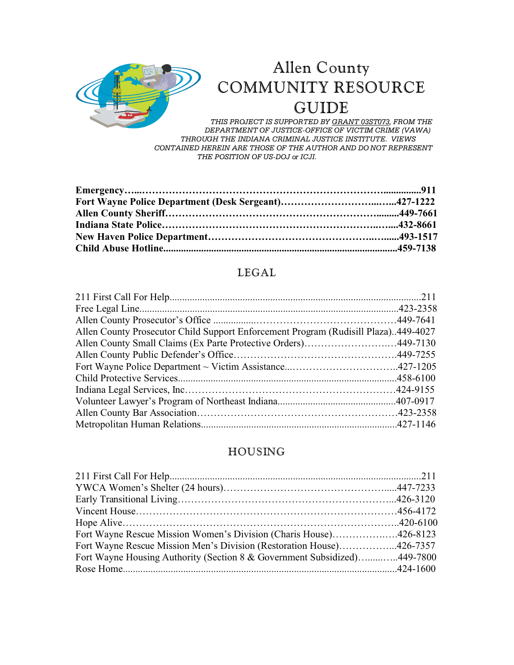

# Allen County COMMUNITY RESOURCE GUIDE

*THIS PROJECT IS SUPPORTED BY GRANT 03ST073, FROM THE DEPARTMENT OF JUSTICE-OFFICE OF VICTIM CRIME (VAWA) THROUGH THE INDIANA CRIMINAL JUSTICE INSTITUTE. VIEWS CONTAINED HEREIN ARE THOSE OF THE AUTHOR AND DO NOT REPRESENT THE POSITION OF US-DOJ or ICJI.*

#### LEGAL

| Allen County Prosecutor Child Support Enforcement Program (Rudisill Plaza)449-4027 |  |
|------------------------------------------------------------------------------------|--|
| Allen County Small Claims (Ex Parte Protective Orders)449-7130                     |  |
|                                                                                    |  |
|                                                                                    |  |
|                                                                                    |  |
|                                                                                    |  |
|                                                                                    |  |
|                                                                                    |  |
|                                                                                    |  |
|                                                                                    |  |

#### HOUSING

| Fort Wayne Rescue Mission Women's Division (Charis House)426-8123        |  |
|--------------------------------------------------------------------------|--|
| Fort Wayne Rescue Mission Men's Division (Restoration House)426-7357     |  |
| Fort Wayne Housing Authority (Section 8 & Government Subsidized)449-7800 |  |
|                                                                          |  |
|                                                                          |  |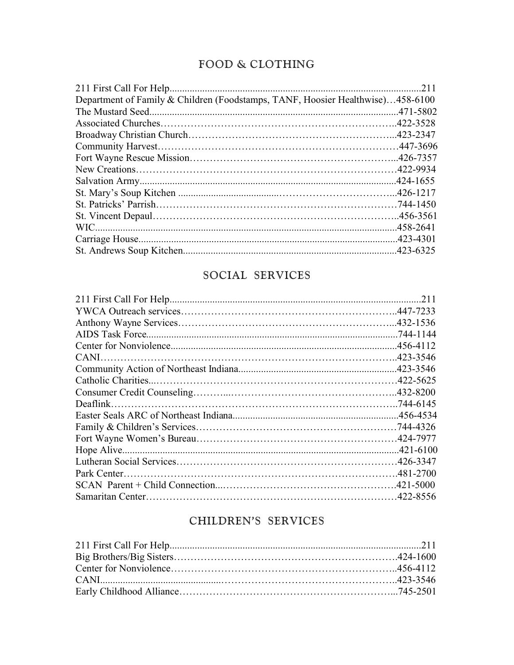### FOOD & CLOTHING

| Department of Family & Children (Foodstamps, TANF, Hoosier Healthwise)458-6100 |  |
|--------------------------------------------------------------------------------|--|
|                                                                                |  |
|                                                                                |  |
|                                                                                |  |
|                                                                                |  |
|                                                                                |  |
|                                                                                |  |
|                                                                                |  |
|                                                                                |  |
|                                                                                |  |
|                                                                                |  |
|                                                                                |  |
|                                                                                |  |
|                                                                                |  |

# SOCIAL SERVICES

| 211 |
|-----|
|     |
|     |
|     |
|     |
|     |
|     |
|     |
|     |
|     |
|     |
|     |
|     |
|     |
|     |
|     |
|     |
|     |
|     |

# CHILDREN'S SERVICES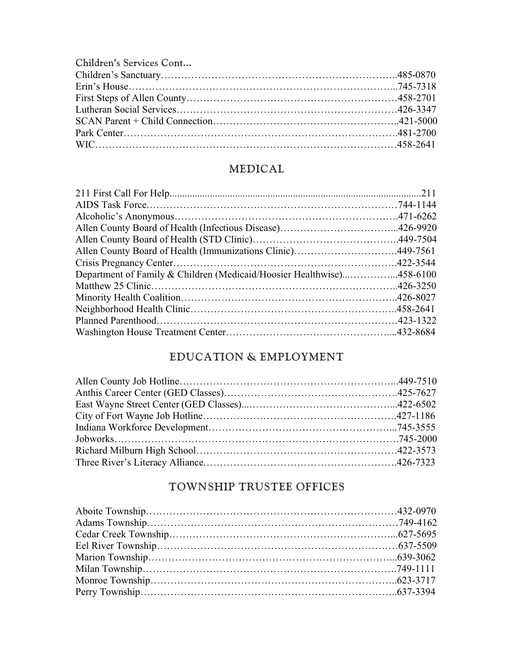Children's Services Cont...

## MEDICAL

| Allen County Board of Health (Immunizations Clinic)449-7561           |  |
|-----------------------------------------------------------------------|--|
|                                                                       |  |
| Department of Family & Children (Medicaid/Hoosier Healthwise)458-6100 |  |
|                                                                       |  |
|                                                                       |  |
|                                                                       |  |
|                                                                       |  |
|                                                                       |  |
|                                                                       |  |

# EDUCATION & EMPLOYMENT

# TOWNSHIP TRUSTEE OFFICES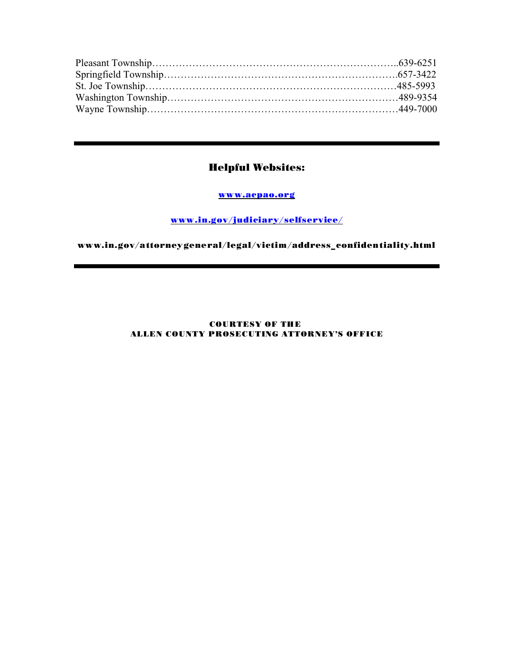#### Helpful Websites:

www.acpao.org

www.in.gov/judiciary/selfservice/

www.in.gov/attorneygeneral/legal/victim/address\_confidentiality.html

#### COURTESY OF THE ALLEN COUNTY PROSECUTING ATTORNEY'S OFFICE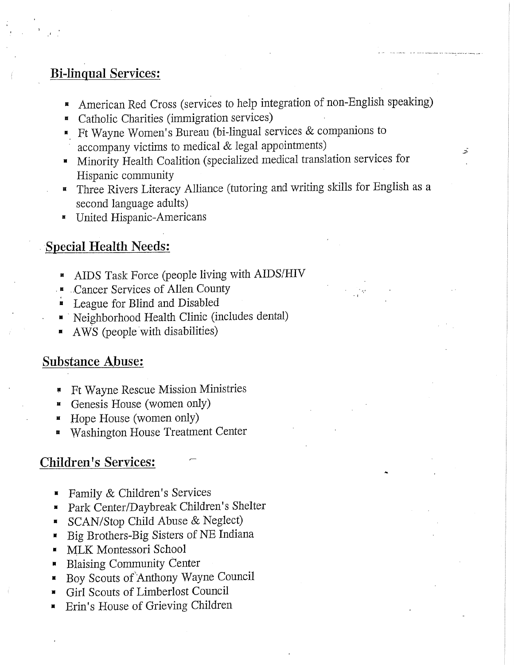# **Bi-linqual Services:**

American Red Cross (services to help integration of non-English speaking)

云

- Catholic Charities (immigration services)  $\tilde{\mathbf{S}}$
- Fr Wayne Women's Bureau (bi-lingual services  $&$  companions to accompany victims to medical & legal appointments)
- " Minority Health Coalition (specialized medical translation services for Hispanic community
- " Three Rivers Literacy Alliance (tutoring and writing skills for English as a second language adults)
- **E** United Hispanic-Americans

# **Special Health Needs:**

- AIDS Task Force (people living with AIDS/HIV
- **E** Cancer Services of Allen County
- League for Blind and Disabled
- " Neighborhood Health Clinic (includes dental)
- AWS (people with disabilities)

# **Substance Abuse:**

- Ft Wayne Rescue Mission Ministries
- Genesis House (women only)
- Hope House (women only)
- Washington House Treatment Center

### **Children's Services:**

- Family & Children's Services
- Park Center/Daybreak Children's Shelter
- SCAN/Stop Child Abuse & Neglect)  $\blacksquare$
- Big Brothers-Big Sisters of NE Indiana  $\blacksquare$
- MLK Montessori School
- **Blaising Community Center**  $\blacksquare$
- Boy Scouts of Anthony Wayne Council
- Girl Scouts of Limberlost Council Ħ
- Erin's House of Grieving Children П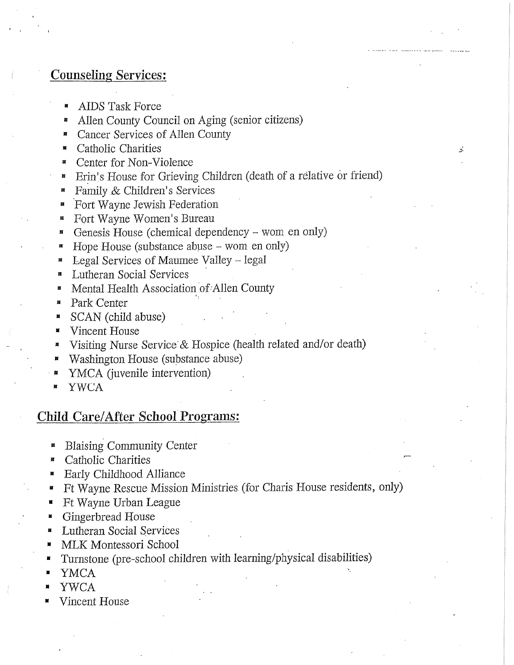#### **Counseling Services:**

- AIDS Task Force
- Allen County Council on Aging (senior citizens) 圓
- Cancer Services of Allen County ×
- Catholic Charities  $\blacksquare$
- Center for Non-Violence  $\blacksquare$
- Erin's House for Grieving Children (death of a relative or friend)

Ż.

- Family & Children's Services 厦
- Fort Wayne Jewish Federation
- Fort Wayne Women's Bureau
- Genesis House (chemical dependency wom en only)
- Hope House (substance abuse  $-$  wom en only)
- Legal Services of Maumee Valley legal 圖
- **Lutheran Social Services**
- Mental Health Association of Allen County Ħ
- Park Center M
- SCAN (child abuse) Д
- Vincent House
- Visiting Nurse Service & Hospice (health related and/or death)
- Washington House (substance abuse)
- YMCA (juvenile intervention)
- **YWCA**

#### **Child Care/After School Programs:**

- **Blaising Community Center**  $\blacksquare$
- Catholic Charities  $\blacksquare$
- **Early Childhood Alliance** ĝ.
- Ft Wayne Rescue Mission Ministries (for Charis House residents, only) Ħ
- Ft Wayne Urban League Ħ
- Gingerbread House Ħ
- Lutheran Social Services N
- MLK Montessori School  $\blacksquare$
- Turnstone (pre-school children with learning/physical disabilities)
- **YMCA**
- **YWCA**
- Vincent House